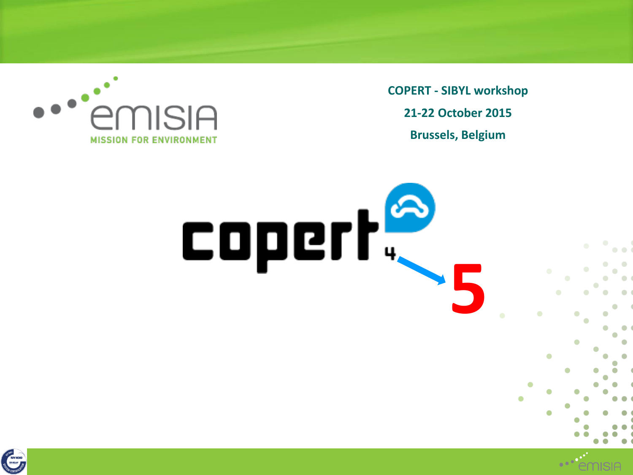

**COPERT - SIBYL workshop 21-22 October 2015 Brussels, Belgium**



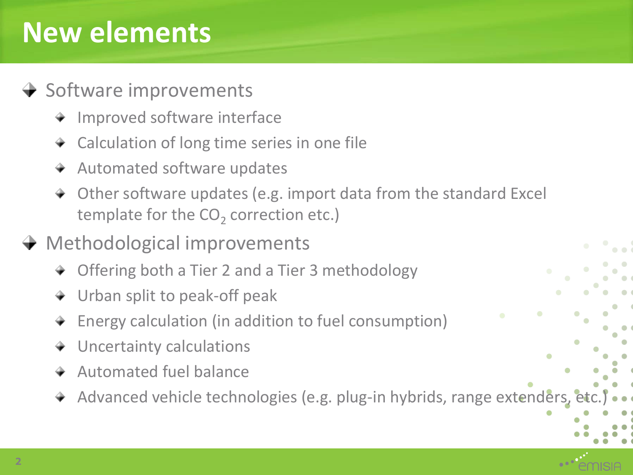## **New elements**

#### $\rightarrow$  Software improvements

- + Improved software interface
- **★** Calculation of long time series in one file
- + Automated software updates
- Other software updates (e.g. import data from the standard Excel template for the  $\text{CO}_2$  correction etc.)

#### **→ Methodological improvements**

- **→ Offering both a Tier 2 and a Tier 3 methodology**
- Urban split to peak-off peak
- Energy calculation (in addition to fuel consumption)
- Uncertainty calculations
- $+$  Automated fuel balance
- + Advanced vehicle technologies (e.g. plug-in hybrids, range extenders, etc.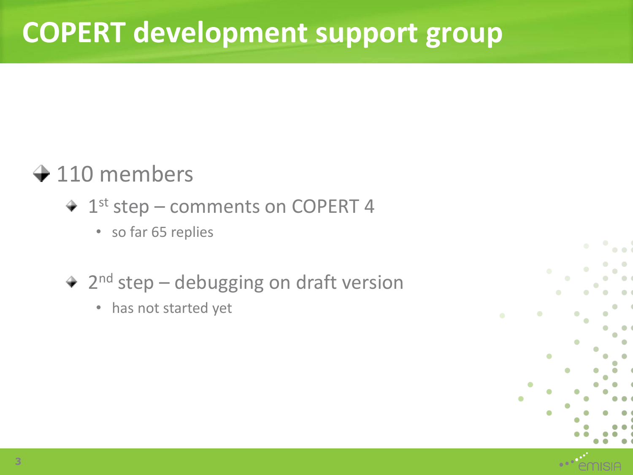## **COPERT development support group**

#### $+110$  members

- 1st step comments on COPERT 4
	- so far 65 replies
- 2<sup>nd</sup> step debugging on draft version
	- has not started yet

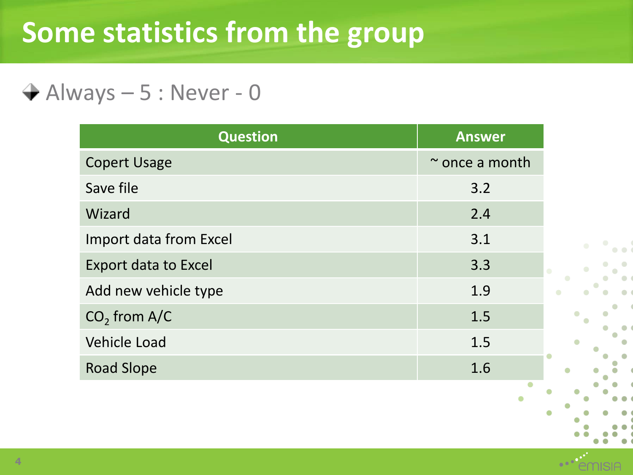## **Some statistics from the group**

 $\rightarrow$  Always – 5 : Never - 0

| <b>Question</b>               | <b>Answer</b>       |
|-------------------------------|---------------------|
| <b>Copert Usage</b>           | $\sim$ once a month |
| Save file                     | 3.2                 |
| Wizard                        | 2.4                 |
| <b>Import data from Excel</b> | 3.1                 |
| <b>Export data to Excel</b>   | 3.3                 |
| Add new vehicle type          | 1.9                 |
| $CO2$ from A/C                | 1.5                 |
| <b>Vehicle Load</b>           | 1.5                 |
| <b>Road Slope</b>             | 1.6                 |

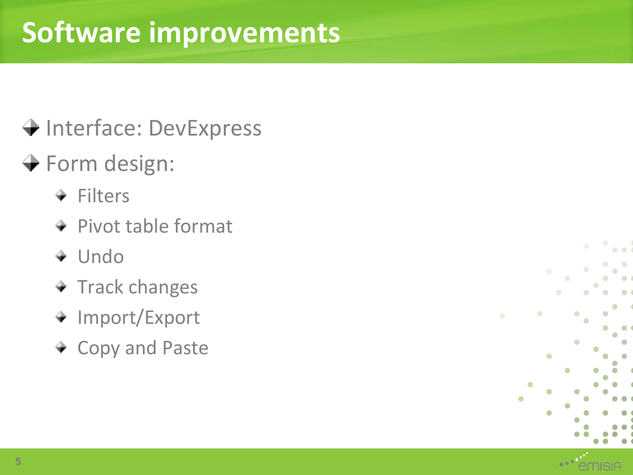## **Software improvements**

### → Interface: DevExpress

### Form design:

- $+$  Filters
- $+$  Pivot table format
- + Undo
- $+$  Track changes
- + Import/Export
- + Copy and Paste



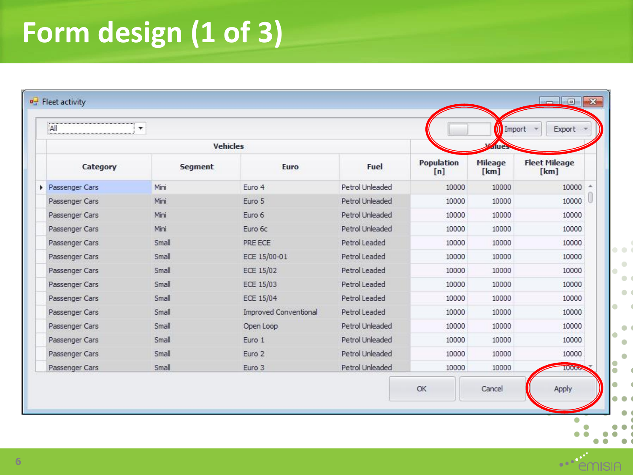# **Form design (1 of 3)**

| Category<br>Passenger Cars<br>Passenger Cars | <b>Segment</b> | <b>Vehicles</b><br>Euro      | Fuel            |                   | due             |                              |
|----------------------------------------------|----------------|------------------------------|-----------------|-------------------|-----------------|------------------------------|
|                                              |                |                              |                 |                   |                 |                              |
|                                              |                |                              |                 | Population<br>[n] | Mileage<br>[km] | <b>Fleet Mileage</b><br>[km] |
|                                              | Mini           | Euro 4                       | Petrol Unleaded | 10000             | 10000           | 10000                        |
|                                              | Mini           | Euro 5                       | Petrol Unleaded | 10000             | 10000           | 10000                        |
| Passenger Cars                               | Mini           | Euro 6                       | Petrol Unleaded | 10000             | 10000           | 10000                        |
| Passenger Cars                               | Mini           | Euro 6c                      | Petrol Unleaded | 10000             | 10000           | 10000                        |
| Passenger Cars                               | Small          | PRE ECE                      | Petrol Leaded   | 10000             | 10000           | 10000                        |
| Passenger Cars                               | Small          | ECE 15/00-01                 | Petrol Leaded   | 10000             | 10000           | 10000                        |
| Passenger Cars                               | Small          | <b>ECE 15/02</b>             | Petrol Leaded   | 10000             | 10000           | 10000                        |
| Passenger Cars                               | Small          | ECE 15/03                    | Petrol Leaded   | 10000             | 10000           | 10000                        |
| Passenger Cars                               | Small          | ECE 15/04                    | Petrol Leaded   | 10000             | 10000           | 10000                        |
| Passenger Cars                               | Small          | <b>Improved Conventional</b> | Petrol Leaded   | 10000             | 10000           | 10000                        |
| Passenger Cars                               | Small          | Open Loop                    | Petrol Unleaded | 10000             | 10000           | 10000                        |
| Passenger Cars                               | Small          | Euro 1                       | Petrol Unleaded | 10000             | 10000           | 10000                        |
| Passenger Cars                               | Small          | Euro 2                       | Petrol Unleaded | 10000             | 10000           | 10000                        |
| Passenger Cars                               | Small          | Euro 3                       | Petrol Unleaded | 10000             | 10000           | 10006                        |

 $\overline{\phantom{a}}$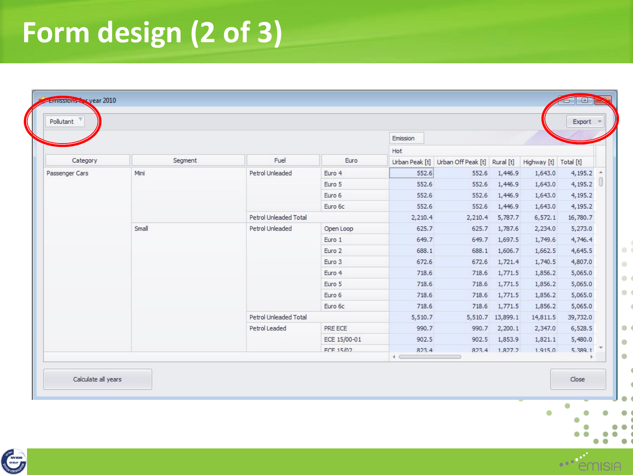# **Form design (2 of 3)**

| Segment |                 |                 |                                                                               |                                                                                        |                                    |                       |                                                                                                                                                 |                                                                                                                                                                                |         |
|---------|-----------------|-----------------|-------------------------------------------------------------------------------|----------------------------------------------------------------------------------------|------------------------------------|-----------------------|-------------------------------------------------------------------------------------------------------------------------------------------------|--------------------------------------------------------------------------------------------------------------------------------------------------------------------------------|---------|
|         | Fuel            | Euro            | Urban Peak [t]                                                                | Urban Off Peak [t]                                                                     | Rural [t]                          | Highway [t] Total [t] |                                                                                                                                                 |                                                                                                                                                                                |         |
| Mini    | Petrol Unleaded | Euro 4          | 552.6                                                                         | 552.6                                                                                  | 1,446.9                            | 1,643.0               | 4,195.2                                                                                                                                         | $\mathcal{A}$                                                                                                                                                                  |         |
|         |                 |                 |                                                                               |                                                                                        |                                    |                       |                                                                                                                                                 | 16                                                                                                                                                                             |         |
|         |                 |                 |                                                                               |                                                                                        |                                    |                       |                                                                                                                                                 |                                                                                                                                                                                |         |
|         |                 |                 |                                                                               |                                                                                        |                                    |                       |                                                                                                                                                 |                                                                                                                                                                                |         |
|         |                 |                 |                                                                               |                                                                                        |                                    |                       |                                                                                                                                                 |                                                                                                                                                                                |         |
|         |                 | Open Loop       |                                                                               | 625.7                                                                                  | 1,787.6                            | 2,234.0               |                                                                                                                                                 |                                                                                                                                                                                |         |
|         |                 | Euro 1          |                                                                               | 649.7                                                                                  | 1,697.5                            |                       |                                                                                                                                                 |                                                                                                                                                                                |         |
|         |                 | Euro 2          |                                                                               | 688.1                                                                                  |                                    |                       | 4,645.5                                                                                                                                         |                                                                                                                                                                                |         |
|         |                 | Euro 3          |                                                                               | 672.6                                                                                  |                                    |                       | 4,807.0                                                                                                                                         |                                                                                                                                                                                |         |
|         |                 | Euro 4          | 718.6                                                                         | 718.6                                                                                  | 1,771.5                            |                       | 5,065.0                                                                                                                                         |                                                                                                                                                                                |         |
|         |                 | Euro 5          | 718.6                                                                         | 718.6                                                                                  | 1,771.5                            |                       | 5,065.0                                                                                                                                         |                                                                                                                                                                                |         |
|         |                 |                 |                                                                               | Euro 6                                                                                 | 718.6                              | 718.6                 |                                                                                                                                                 |                                                                                                                                                                                | 5,065.0 |
|         |                 | Euro 6c         | 718.6                                                                         | 718.6                                                                                  |                                    |                       | 5,065.0                                                                                                                                         |                                                                                                                                                                                |         |
|         |                 |                 | 5,510.7                                                                       |                                                                                        |                                    |                       | 39,732.0                                                                                                                                        |                                                                                                                                                                                |         |
|         | Petrol Leaded   | PRE ECE         | 990.7                                                                         | 990.7                                                                                  | 2,200.1                            | 2,347.0               | 6,528.5                                                                                                                                         |                                                                                                                                                                                |         |
|         |                 | ECE 15/00-01    | 902.5                                                                         | 902.5                                                                                  | 1,853.9                            |                       | 5,480.0                                                                                                                                         |                                                                                                                                                                                |         |
|         |                 | FCF 15/02       | 823.4                                                                         |                                                                                        |                                    |                       | 5.389.1                                                                                                                                         |                                                                                                                                                                                |         |
|         | Small           | Petrol Unleaded | Euro 5<br>Euro 6<br>Euro 6c<br>Petrol Unleaded Total<br>Petrol Unleaded Total | 552.6<br>552.6<br>552.6<br>2,210.4<br>625.7<br>649.7<br>688.1<br>672.6<br>$\leftarrow$ | 552.6<br>552.6<br>552.6<br>2,210.4 | 1,446.9<br>1,446.9    | 1,643.0<br>1,643.0<br>1,643.0<br>1,446.9<br>5,787.7<br>1,749.6<br>1,606.7<br>1,721.4<br>1,771.5<br>1,771.5<br>5,510.7 13,899.1<br>823.4 1.827.2 | 4,195.2<br>4,195.2<br>4,195.2<br>6,572.1<br>16,780.7<br>5,273.0<br>4,746.4<br>1,662.5<br>1,740.5<br>1,856.2<br>1,856.2<br>1,856.2<br>1,856.2<br>14,811.5<br>1,821.1<br>1.915.0 |         |

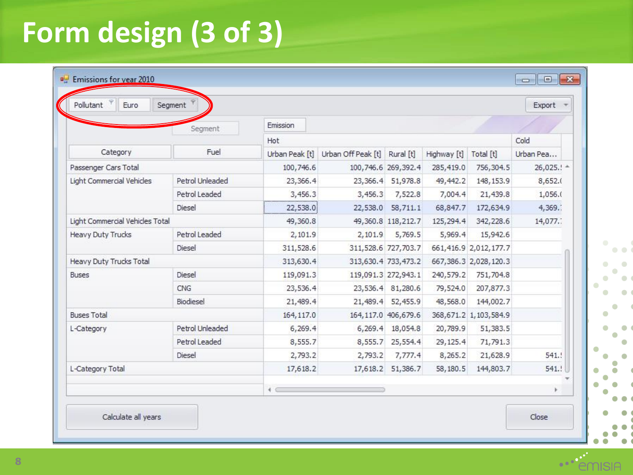# **Form design (3 of 3)**

| Pollutant<br>Euro                                                                                                            | Segment         |                |                    |                       |             |                          |              |  |  |  |
|------------------------------------------------------------------------------------------------------------------------------|-----------------|----------------|--------------------|-----------------------|-------------|--------------------------|--------------|--|--|--|
|                                                                                                                              | Segment         | Emission       |                    |                       |             |                          |              |  |  |  |
| Fuel<br>Category<br>Petrol Unleaded<br>Petrol Leaded<br>Diesel<br>Light Commercial Vehicles Total<br>Petrol Leaded<br>Diesel | Hot.            |                |                    |                       |             | Cold                     |              |  |  |  |
|                                                                                                                              |                 | Urban Peak [t] | Urban Off Peak [t] | Rural [t]             | Highway [t] | Total [t]                | Urban Pea    |  |  |  |
| Passenger Cars Total                                                                                                         |                 | 100,746.6      |                    | 100,746.6 269,392.4   | 285,419.0   | 756,304.5                | $26,025.1 -$ |  |  |  |
| Light Commercial Vehicles                                                                                                    |                 | 23,366.4       |                    | 23,366.4 51,978.8     | 49, 442.2   | 148, 153.9               | 8,652.0      |  |  |  |
|                                                                                                                              |                 | 3,456.3        | 3,456.3            | 7,522.8               | 7,004.4     | 21,439.8                 | 1,056.0      |  |  |  |
|                                                                                                                              |                 | 22,538.0       | 22,538.0           | 58,711.1              | 68,847.7    | 172,634.9                | 4,369.       |  |  |  |
|                                                                                                                              |                 | 49,360.8       |                    | 49,360.8 118,212.7    | 125,294.4   | 342,228.6                | 14,077.      |  |  |  |
| <b>Heavy Duty Trucks</b>                                                                                                     |                 | 2,101.9        | 2,101.9            | 5,769.5               | 5,969.4     | 15,942.6                 |              |  |  |  |
|                                                                                                                              |                 | 311,528.6      |                    | 311,528.6 727,703.7   |             | 661,416.9 2,012,177.7    |              |  |  |  |
| Heavy Duty Trucks Total                                                                                                      |                 | 313,630.4      |                    | 313,630.4 733,473.2   |             | 667, 386.3 2, 028, 120.3 |              |  |  |  |
| <b>Buses</b>                                                                                                                 | Diesel          | 119,091.3      |                    | 119,091.3 272,943.1   | 240,579.2   | 751,704.8                |              |  |  |  |
|                                                                                                                              | CNG             | 23,536.4       |                    | 23,536.4 81,280.6     | 79,524.0    | 207,877.3                |              |  |  |  |
|                                                                                                                              | Biodiesel       | 21,489.4       |                    | 21,489.4 52,455.9     | 48,568.0    | 144,002.7                |              |  |  |  |
| <b>Buses Total</b>                                                                                                           | Petrol Unleaded | 164,117.0      |                    | 164, 117.0 406, 679.6 |             | 368,671.2 1,103,584.9    |              |  |  |  |
| L-Category                                                                                                                   |                 | 6,269.4        | 6,269.4            | 18,054.8              | 20,789.9    | 51,383.5                 |              |  |  |  |
|                                                                                                                              | Petrol Leaded   | 8,555.7        | 8,555.7            | 25,554.4              | 29, 125.4   | 71,791.3                 |              |  |  |  |
|                                                                                                                              | Diesel          | 2,793.2        | 2,793.2            | 7,777.4               | 8,265.2     | 21,628.9                 | 541.5        |  |  |  |
| L-Category Total                                                                                                             |                 | 17,618.2       |                    | 17,618.2 51,386.7     | 58,180.5    | 144,803.7                | 541.!        |  |  |  |
|                                                                                                                              |                 | $\leftarrow$   |                    |                       |             |                          |              |  |  |  |

 $\bullet$ 

**SIA** 

 $\bullet$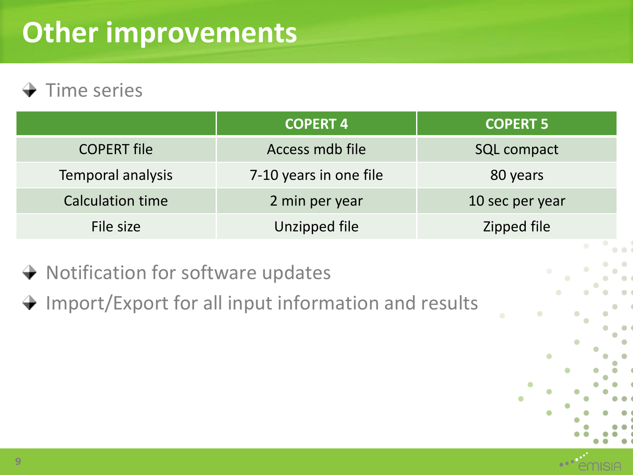## **Other improvements**

#### $\rightarrow$  Time series

|                         | <b>COPERT 4</b>        | <b>COPERT 5</b>    |
|-------------------------|------------------------|--------------------|
| <b>COPERT file</b>      | Access mdb file        | <b>SQL compact</b> |
| Temporal analysis       | 7-10 years in one file | 80 years           |
| <b>Calculation time</b> | 2 min per year         | 10 sec per year    |
| File size               | Unzipped file          | Zipped file        |

- $\rightarrow$  Notification for software updates
- $\rightarrow$  Import/Export for all input information and results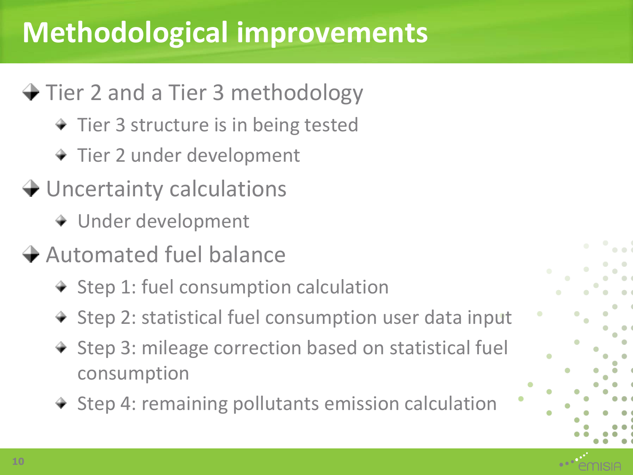## **Methodological improvements**

### **→ Tier 2 and a Tier 3 methodology**

- $+$  Tier 3 structure is in being tested
- + Tier 2 under development
- **→ Uncertainty calculations** 
	- Under development
- $\rightarrow$  Automated fuel balance
	- $*$  Step 1: fuel consumption calculation
	- + Step 2: statistical fuel consumption user data input
	- + Step 3: mileage correction based on statistical fuel consumption
	- + Step 4: remaining pollutants emission calculation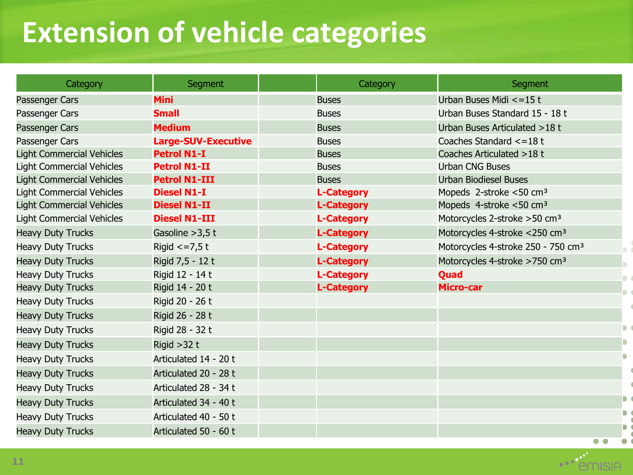## **Extension of vehicle categories**

| Category                         | <b>Segment</b>             | Category          | Segment                                        |
|----------------------------------|----------------------------|-------------------|------------------------------------------------|
| Passenger Cars                   | <b>Mini</b>                | <b>Buses</b>      | Urban Buses Midi <= 15 t                       |
| Passenger Cars                   | <b>Small</b>               | <b>Buses</b>      | Urban Buses Standard 15 - 18 t                 |
| Passenger Cars                   | <b>Medium</b>              | <b>Buses</b>      | Urban Buses Articulated >18 t                  |
| Passenger Cars                   | <b>Large-SUV-Executive</b> | <b>Buses</b>      | Coaches Standard <= 18 t                       |
| <b>Light Commercial Vehicles</b> | <b>Petrol N1-I</b>         | <b>Buses</b>      | Coaches Articulated > 18 t                     |
| <b>Light Commercial Vehicles</b> | <b>Petrol N1-II</b>        | <b>Buses</b>      | <b>Urban CNG Buses</b>                         |
| <b>Light Commercial Vehicles</b> | <b>Petrol N1-III</b>       | <b>Buses</b>      | <b>Urban Biodiesel Buses</b>                   |
| <b>Light Commercial Vehicles</b> | <b>Diesel N1-I</b>         | <b>L-Category</b> | Mopeds 2-stroke <50 cm <sup>3</sup>            |
| <b>Light Commercial Vehicles</b> | <b>Diesel N1-II</b>        | <b>L-Category</b> | Mopeds 4-stroke <50 cm <sup>3</sup>            |
| <b>Light Commercial Vehicles</b> | <b>Diesel N1-III</b>       | <b>L-Category</b> | Motorcycles 2-stroke > 50 cm <sup>3</sup>      |
| <b>Heavy Duty Trucks</b>         | Gasoline $>3,5$ t          | <b>L-Category</b> | Motorcycles 4-stroke <250 cm <sup>3</sup>      |
| <b>Heavy Duty Trucks</b>         | Rigid $\epsilon$ =7,5t     | <b>L-Category</b> | Motorcycles 4-stroke 250 - 750 cm <sup>3</sup> |
| <b>Heavy Duty Trucks</b>         | Rigid 7,5 - 12 t           | <b>L-Category</b> | Motorcycles 4-stroke >750 cm <sup>3</sup>      |
| <b>Heavy Duty Trucks</b>         | Rigid 12 - 14 t            | <b>L-Category</b> | Quad                                           |
| <b>Heavy Duty Trucks</b>         | Rigid 14 - 20 t            | <b>L-Category</b> | <b>Micro-car</b>                               |
| <b>Heavy Duty Trucks</b>         | Rigid 20 - 26 t            |                   |                                                |
| <b>Heavy Duty Trucks</b>         | Rigid 26 - 28 t            |                   |                                                |
| <b>Heavy Duty Trucks</b>         | Rigid 28 - 32 t            |                   |                                                |
| <b>Heavy Duty Trucks</b>         | Rigid $>32$ t              |                   |                                                |
| <b>Heavy Duty Trucks</b>         | Articulated 14 - 20 t      |                   |                                                |
| <b>Heavy Duty Trucks</b>         | Articulated 20 - 28 t      |                   |                                                |
| <b>Heavy Duty Trucks</b>         | Articulated 28 - 34 t      |                   |                                                |
| <b>Heavy Duty Trucks</b>         | Articulated 34 - 40 t      |                   |                                                |
| <b>Heavy Duty Trucks</b>         | Articulated 40 - 50 t      |                   |                                                |
| <b>Heavy Duty Trucks</b>         | Articulated 50 - 60 t      |                   |                                                |

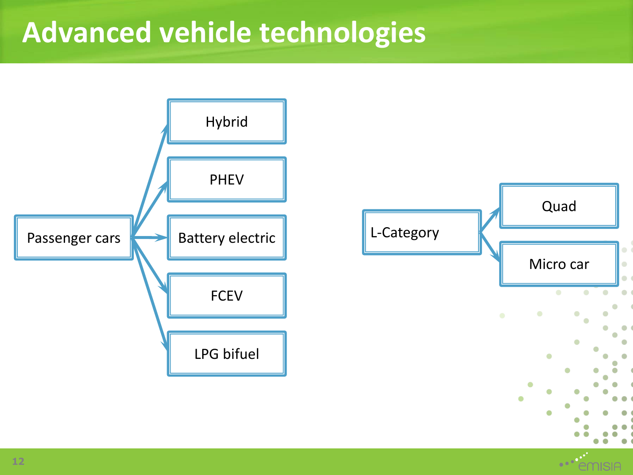### **Advanced vehicle technologies**

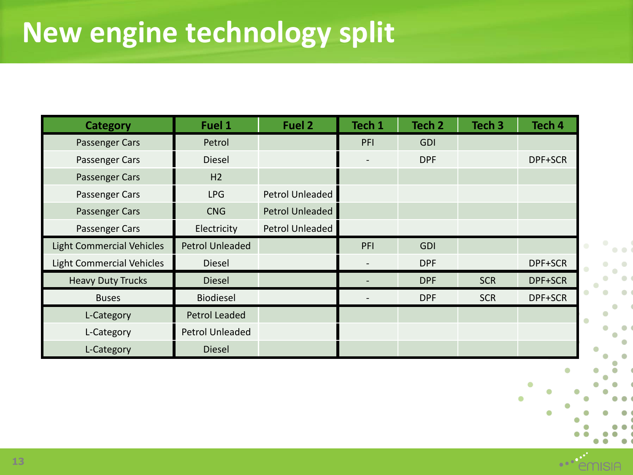| <b>Category</b>                  | Fuel 1                 | Fuel 2                 | Tech 1                   | Tech <sub>2</sub> | Tech <sub>3</sub> | Tech <sub>4</sub> |
|----------------------------------|------------------------|------------------------|--------------------------|-------------------|-------------------|-------------------|
| Passenger Cars                   | Petrol                 |                        | PFI                      | <b>GDI</b>        |                   |                   |
| Passenger Cars                   | Diesel                 |                        | $\overline{\phantom{a}}$ | <b>DPF</b>        |                   | DPF+SCR           |
| Passenger Cars                   | H <sub>2</sub>         |                        |                          |                   |                   |                   |
| Passenger Cars                   | <b>LPG</b>             | <b>Petrol Unleaded</b> |                          |                   |                   |                   |
| Passenger Cars                   | <b>CNG</b>             | <b>Petrol Unleaded</b> |                          |                   |                   |                   |
| Passenger Cars                   | Electricity            | <b>Petrol Unleaded</b> |                          |                   |                   |                   |
| <b>Light Commercial Vehicles</b> | <b>Petrol Unleaded</b> |                        | PFI                      | <b>GDI</b>        |                   |                   |
| <b>Light Commercial Vehicles</b> | Diesel                 |                        |                          | <b>DPF</b>        |                   | DPF+SCR           |
| <b>Heavy Duty Trucks</b>         | <b>Diesel</b>          |                        |                          | <b>DPF</b>        | <b>SCR</b>        | DPF+SCR           |
| <b>Buses</b>                     | Biodiesel              |                        |                          | <b>DPF</b>        | <b>SCR</b>        | DPF+SCR           |
| L-Category                       | Petrol Leaded          |                        |                          |                   |                   |                   |
| L-Category                       | Petrol Unleaded        |                        |                          |                   |                   |                   |
| L-Category                       | <b>Diesel</b>          |                        |                          |                   |                   |                   |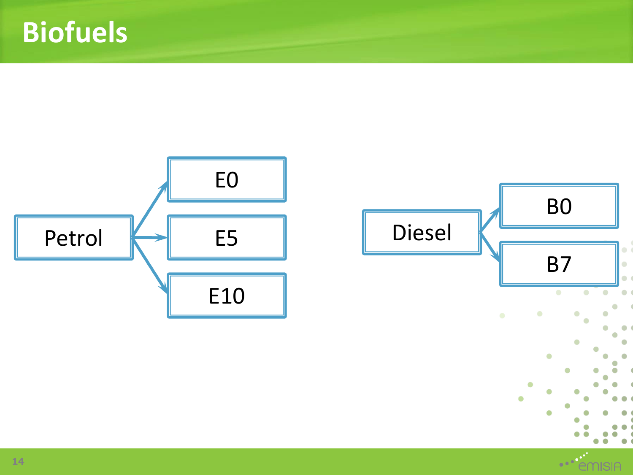## **Biofuels**



**IISIA**